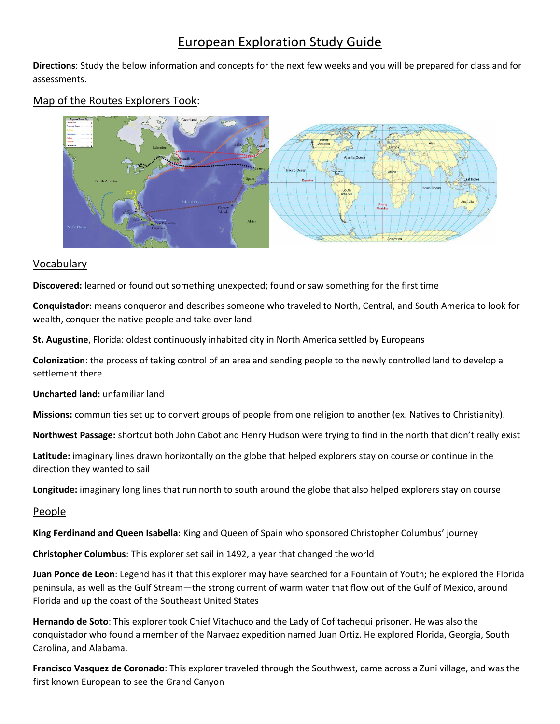# European Exploration Study Guide

**Directions**: Study the below information and concepts for the next few weeks and you will be prepared for class and for assessments.



## Map of the Routes Explorers Took:

#### Vocabulary

**Discovered:** learned or found out something unexpected; found or saw something for the first time

**Conquistador**: means conqueror and describes someone who traveled to North, Central, and South America to look for wealth, conquer the native people and take over land

**St. Augustine**, Florida: oldest continuously inhabited city in North America settled by Europeans

**Colonization**: the process of taking control of an area and sending people to the newly controlled land to develop a settlement there

**Uncharted land:** unfamiliar land

**Missions:** communities set up to convert groups of people from one religion to another (ex. Natives to Christianity).

**Northwest Passage:** shortcut both John Cabot and Henry Hudson were trying to find in the north that didn't really exist

**Latitude:** imaginary lines drawn horizontally on the globe that helped explorers stay on course or continue in the direction they wanted to sail

**Longitude:** imaginary long lines that run north to south around the globe that also helped explorers stay on course

#### People

**King Ferdinand and Queen Isabella**: King and Queen of Spain who sponsored Christopher Columbus' journey

**Christopher Columbus**: This explorer set sail in 1492, a year that changed the world

**Juan Ponce de Leon**: Legend has it that this explorer may have searched for a Fountain of Youth; he explored the Florida peninsula, as well as the Gulf Stream—the strong current of warm water that flow out of the Gulf of Mexico, around Florida and up the coast of the Southeast United States

**Hernando de Soto**: This explorer took Chief Vitachuco and the Lady of Cofitachequi prisoner. He was also the conquistador who found a member of the Narvaez expedition named Juan Ortiz. He explored Florida, Georgia, South Carolina, and Alabama.

**Francisco Vasquez de Coronado**: This explorer traveled through the Southwest, came across a Zuni village, and was the first known European to see the Grand Canyon